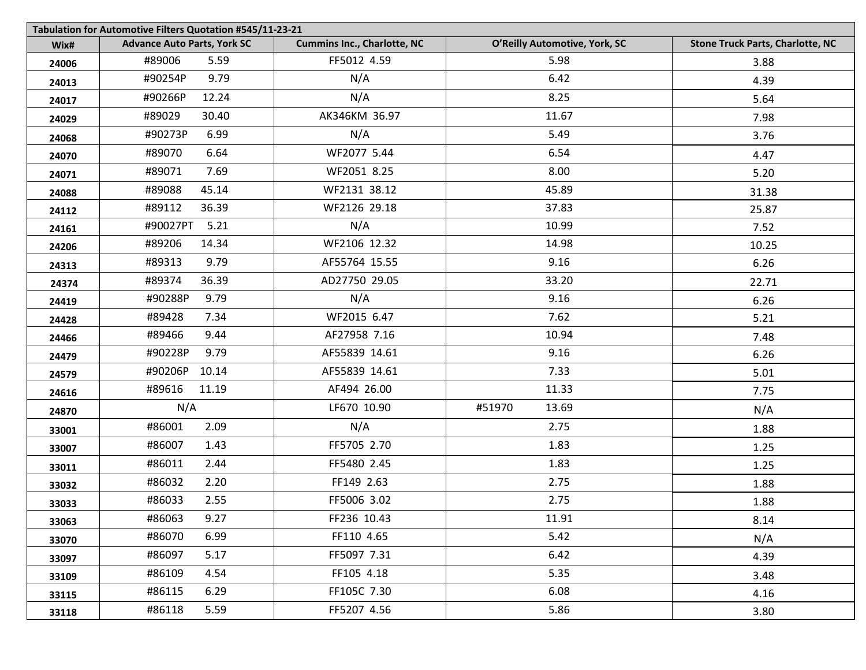|       | Tabulation for Automotive Filters Quotation #545/11-23-21 |                                    |                               |                                         |  |  |
|-------|-----------------------------------------------------------|------------------------------------|-------------------------------|-----------------------------------------|--|--|
| Wix#  | <b>Advance Auto Parts, York SC</b>                        | <b>Cummins Inc., Charlotte, NC</b> | O'Reilly Automotive, York, SC | <b>Stone Truck Parts, Charlotte, NC</b> |  |  |
| 24006 | #89006<br>5.59                                            | FF5012 4.59                        | 5.98                          | 3.88                                    |  |  |
| 24013 | 9.79<br>#90254P                                           | N/A                                | 6.42                          | 4.39                                    |  |  |
| 24017 | #90266P<br>12.24                                          | N/A                                | 8.25                          | 5.64                                    |  |  |
| 24029 | #89029<br>30.40                                           | AK346KM 36.97                      | 11.67                         | 7.98                                    |  |  |
| 24068 | #90273P<br>6.99                                           | N/A                                | 5.49                          | 3.76                                    |  |  |
| 24070 | 6.64<br>#89070                                            | WF2077 5.44                        | 6.54                          | 4.47                                    |  |  |
| 24071 | 7.69<br>#89071                                            | WF2051 8.25                        | 8.00                          | 5.20                                    |  |  |
| 24088 | 45.14<br>#89088                                           | WF2131 38.12                       | 45.89                         | 31.38                                   |  |  |
| 24112 | #89112<br>36.39                                           | WF2126 29.18                       | 37.83                         | 25.87                                   |  |  |
| 24161 | #90027PT<br>5.21                                          | N/A                                | 10.99                         | 7.52                                    |  |  |
| 24206 | #89206<br>14.34                                           | WF2106 12.32                       | 14.98                         | 10.25                                   |  |  |
| 24313 | 9.79<br>#89313                                            | AF55764 15.55                      | 9.16                          | 6.26                                    |  |  |
| 24374 | #89374<br>36.39                                           | AD27750 29.05                      | 33.20                         | 22.71                                   |  |  |
| 24419 | #90288P<br>9.79                                           | N/A                                | 9.16                          | 6.26                                    |  |  |
| 24428 | #89428<br>7.34                                            | WF2015 6.47                        | 7.62                          | 5.21                                    |  |  |
| 24466 | 9.44<br>#89466                                            | AF27958 7.16                       | 10.94                         | 7.48                                    |  |  |
| 24479 | #90228P<br>9.79                                           | AF55839 14.61                      | 9.16                          | 6.26                                    |  |  |
| 24579 | #90206P<br>10.14                                          | AF55839 14.61                      | 7.33                          | 5.01                                    |  |  |
| 24616 | #89616<br>11.19                                           | AF494 26.00                        | 11.33                         | 7.75                                    |  |  |
| 24870 | N/A                                                       | LF670 10.90                        | #51970<br>13.69               | N/A                                     |  |  |
| 33001 | 2.09<br>#86001                                            | N/A                                | 2.75                          | 1.88                                    |  |  |
| 33007 | 1.43<br>#86007                                            | FF5705 2.70                        | 1.83                          | 1.25                                    |  |  |
| 33011 | 2.44<br>#86011                                            | FF5480 2.45                        | 1.83                          | 1.25                                    |  |  |
| 33032 | 2.20<br>#86032                                            | FF149 2.63                         | 2.75                          | 1.88                                    |  |  |
| 33033 | #86033<br>2.55                                            | FF5006 3.02                        | 2.75                          | 1.88                                    |  |  |
| 33063 | #86063<br>9.27                                            | FF236 10.43                        | 11.91                         | 8.14                                    |  |  |
| 33070 | #86070<br>6.99                                            | FF110 4.65                         | 5.42                          | N/A                                     |  |  |
| 33097 | #86097<br>5.17                                            | FF5097 7.31                        | 6.42                          | 4.39                                    |  |  |
| 33109 | #86109<br>4.54                                            | FF105 4.18                         | 5.35                          | 3.48                                    |  |  |
| 33115 | #86115<br>6.29                                            | FF105C 7.30                        | 6.08                          | 4.16                                    |  |  |
| 33118 | 5.59<br>#86118                                            | FF5207 4.56                        | 5.86                          | 3.80                                    |  |  |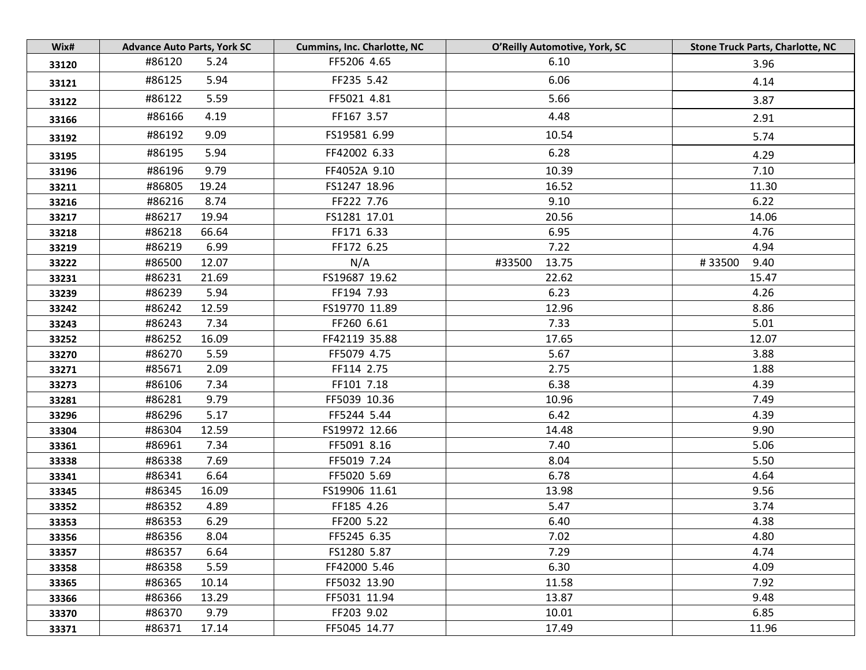| Wix#  | <b>Advance Auto Parts, York SC</b> | <b>Cummins, Inc. Charlotte, NC</b> | O'Reilly Automotive, York, SC | <b>Stone Truck Parts, Charlotte, NC</b> |
|-------|------------------------------------|------------------------------------|-------------------------------|-----------------------------------------|
| 33120 | #86120<br>5.24                     | FF5206 4.65                        | 6.10                          | 3.96                                    |
| 33121 | #86125<br>5.94                     | FF235 5.42                         | 6.06                          | 4.14                                    |
| 33122 | 5.59<br>#86122                     | FF5021 4.81                        | 5.66                          | 3.87                                    |
| 33166 | #86166<br>4.19                     | FF167 3.57                         | 4.48                          | 2.91                                    |
| 33192 | 9.09<br>#86192                     | FS19581 6.99                       | 10.54                         | 5.74                                    |
| 33195 | #86195<br>5.94                     | FF42002 6.33                       | 6.28                          | 4.29                                    |
| 33196 | 9.79<br>#86196                     | FF4052A 9.10                       | 10.39                         | 7.10                                    |
| 33211 | #86805<br>19.24                    | FS1247 18.96                       | 16.52                         | 11.30                                   |
| 33216 | 8.74<br>#86216                     | FF222 7.76                         | 9.10                          | 6.22                                    |
| 33217 | #86217<br>19.94                    | FS1281 17.01                       | 20.56                         | 14.06                                   |
| 33218 | #86218<br>66.64                    | FF171 6.33                         | 6.95                          | 4.76                                    |
| 33219 | #86219<br>6.99                     | FF172 6.25                         | 7.22                          | 4.94                                    |
| 33222 | #86500<br>12.07                    | N/A                                | 13.75<br>#33500               | 9.40<br>#33500                          |
| 33231 | #86231<br>21.69                    | FS19687 19.62                      | 22.62                         | 15.47                                   |
| 33239 | 5.94<br>#86239                     | FF194 7.93                         | 6.23                          | 4.26                                    |
| 33242 | #86242<br>12.59                    | FS19770 11.89                      | 12.96                         | 8.86                                    |
| 33243 | 7.34<br>#86243                     | FF260 6.61                         | 7.33                          | 5.01                                    |
| 33252 | #86252<br>16.09                    | FF42119 35.88                      | 17.65                         | 12.07                                   |
| 33270 | #86270<br>5.59                     | FF5079 4.75                        | 5.67                          | 3.88                                    |
| 33271 | #85671<br>2.09                     | FF114 2.75                         | 2.75                          | 1.88                                    |
| 33273 | #86106<br>7.34                     | FF101 7.18                         | 6.38                          | 4.39                                    |
| 33281 | #86281<br>9.79                     | FF5039 10.36                       | 10.96                         | 7.49                                    |
| 33296 | 5.17<br>#86296                     | FF5244 5.44                        | 6.42                          | 4.39                                    |
| 33304 | #86304<br>12.59                    | FS19972 12.66                      | 14.48                         | 9.90                                    |
| 33361 | 7.34<br>#86961                     | FF5091 8.16                        | 7.40                          | 5.06                                    |
| 33338 | #86338<br>7.69                     | FF5019 7.24                        | 8.04                          | 5.50                                    |
| 33341 | 6.64<br>#86341                     | FF5020 5.69                        | 6.78                          | 4.64                                    |
| 33345 | #86345<br>16.09                    | FS19906 11.61                      | 13.98                         | 9.56                                    |
| 33352 | #86352<br>4.89                     | FF185 4.26                         | 5.47                          | 3.74                                    |
| 33353 | #86353<br>6.29                     | FF200 5.22                         | 6.40                          | 4.38                                    |
| 33356 | #86356<br>8.04                     | FF5245 6.35                        | 7.02                          | 4.80                                    |
| 33357 | #86357<br>6.64                     | FS1280 5.87                        | 7.29                          | 4.74                                    |
| 33358 | #86358<br>5.59                     | FF42000 5.46                       | 6.30                          | 4.09                                    |
| 33365 | #86365<br>10.14                    | FF5032 13.90                       | 11.58                         | 7.92                                    |
| 33366 | #86366<br>13.29                    | FF5031 11.94                       | 13.87                         | 9.48                                    |
| 33370 | #86370<br>9.79                     | FF203 9.02                         | 10.01                         | 6.85                                    |
| 33371 | #86371<br>17.14                    | FF5045 14.77                       | 17.49                         | 11.96                                   |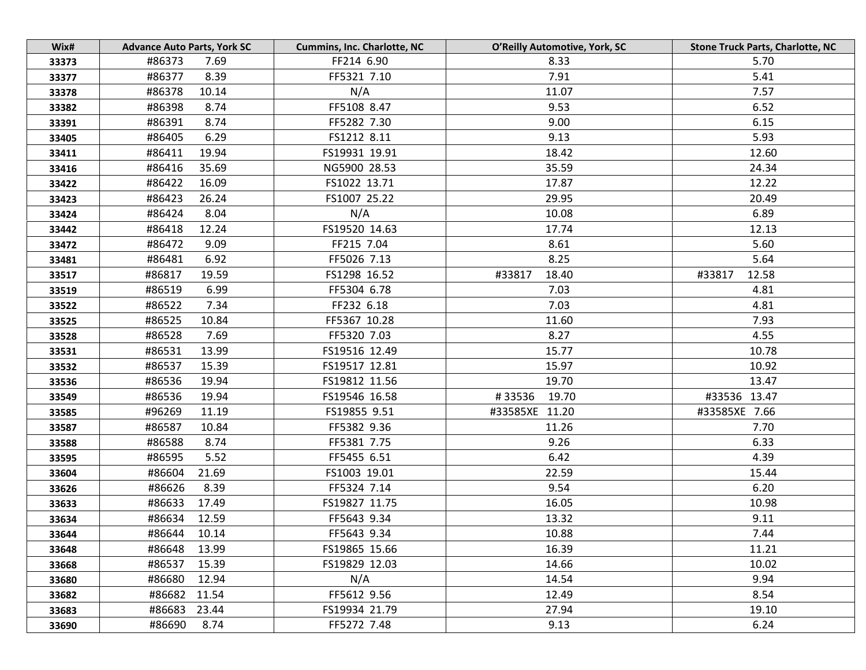| Wix#  | <b>Advance Auto Parts, York SC</b> | <b>Cummins, Inc. Charlotte, NC</b> | O'Reilly Automotive, York, SC | <b>Stone Truck Parts, Charlotte, NC</b> |
|-------|------------------------------------|------------------------------------|-------------------------------|-----------------------------------------|
| 33373 | #86373<br>7.69                     | FF214 6.90                         | 8.33                          | 5.70                                    |
| 33377 | 8.39<br>#86377                     | FF5321 7.10                        | 7.91                          | 5.41                                    |
| 33378 | #86378<br>10.14                    | N/A                                | 11.07                         | 7.57                                    |
| 33382 | #86398<br>8.74                     | FF5108 8.47                        | 9.53                          | 6.52                                    |
| 33391 | #86391<br>8.74                     | FF5282 7.30                        | 9.00                          | 6.15                                    |
| 33405 | 6.29<br>#86405                     | FS1212 8.11                        | 9.13                          | 5.93                                    |
| 33411 | #86411<br>19.94                    | FS19931 19.91                      | 18.42                         | 12.60                                   |
| 33416 | #86416<br>35.69                    | NG5900 28.53                       | 35.59                         | 24.34                                   |
| 33422 | 16.09<br>#86422                    | FS1022 13.71                       | 17.87                         | 12.22                                   |
| 33423 | #86423<br>26.24                    | FS1007 25.22                       | 29.95                         | 20.49                                   |
| 33424 | #86424<br>8.04                     | N/A                                | 10.08                         | 6.89                                    |
| 33442 | #86418<br>12.24                    | FS19520 14.63                      | 17.74                         | 12.13                                   |
| 33472 | #86472<br>9.09                     | FF215 7.04                         | 8.61                          | 5.60                                    |
| 33481 | 6.92<br>#86481                     | FF5026 7.13                        | 8.25                          | 5.64                                    |
| 33517 | #86817<br>19.59                    | FS1298 16.52                       | #33817<br>18.40               | #33817<br>12.58                         |
| 33519 | 6.99<br>#86519                     | FF5304 6.78                        | 7.03                          | 4.81                                    |
| 33522 | #86522<br>7.34                     | FF232 6.18                         | 7.03                          | 4.81                                    |
| 33525 | #86525<br>10.84                    | FF5367 10.28                       | 11.60                         | 7.93                                    |
| 33528 | 7.69<br>#86528                     | FF5320 7.03                        | 8.27                          | 4.55                                    |
| 33531 | 13.99<br>#86531                    | FS19516 12.49                      | 15.77                         | 10.78                                   |
| 33532 | #86537<br>15.39                    | FS19517 12.81                      | 15.97                         | 10.92                                   |
| 33536 | 19.94<br>#86536                    | FS19812 11.56                      | 19.70                         | 13.47                                   |
| 33549 | #86536<br>19.94                    | FS19546 16.58                      | #33536<br>19.70               | #33536 13.47                            |
| 33585 | #96269<br>11.19                    | FS19855 9.51                       | #33585XE 11.20                | #33585XE 7.66                           |
| 33587 | #86587<br>10.84                    | FF5382 9.36                        | 11.26                         | 7.70                                    |
| 33588 | #86588<br>8.74                     | FF5381 7.75                        | 9.26                          | 6.33                                    |
| 33595 | #86595<br>5.52                     | FF5455 6.51                        | 6.42                          | 4.39                                    |
| 33604 | #86604<br>21.69                    | FS1003 19.01                       | 22.59                         | 15.44                                   |
| 33626 | #86626<br>8.39                     | FF5324 7.14                        | 9.54                          | 6.20                                    |
| 33633 | #86633<br>17.49                    | FS19827 11.75                      | 16.05                         | 10.98                                   |
| 33634 | #86634 12.59                       | FF5643 9.34                        | 13.32                         | 9.11                                    |
| 33644 | #86644<br>10.14                    | FF5643 9.34                        | 10.88                         | 7.44                                    |
| 33648 | #86648<br>13.99                    | FS19865 15.66                      | 16.39                         | 11.21                                   |
| 33668 | #86537<br>15.39                    | FS19829 12.03                      | 14.66                         | 10.02                                   |
| 33680 | #86680<br>12.94                    | N/A                                | 14.54                         | 9.94                                    |
| 33682 | #86682<br>11.54                    | FF5612 9.56                        | 12.49                         | 8.54                                    |
| 33683 | #86683<br>23.44                    | FS19934 21.79                      | 27.94                         | 19.10                                   |
| 33690 | #86690<br>8.74                     | FF5272 7.48                        | 9.13                          | 6.24                                    |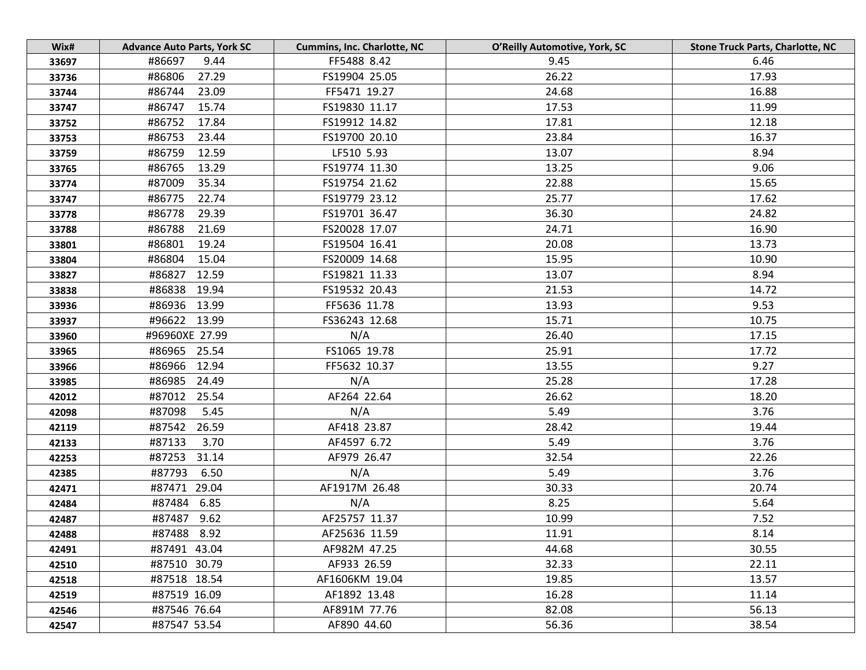| Wix#  | <b>Advance Auto Parts, York SC</b> | <b>Cummins, Inc. Charlotte, NC</b> | O'Reilly Automotive, York, SC | <b>Stone Truck Parts, Charlotte, NC</b> |
|-------|------------------------------------|------------------------------------|-------------------------------|-----------------------------------------|
| 33697 | #86697<br>9.44                     | FF5488 8.42                        | 9.45                          | 6.46                                    |
| 33736 | #86806<br>27.29                    | FS19904 25.05                      | 26.22                         | 17.93                                   |
| 33744 | #86744<br>23.09                    | FF5471 19.27                       | 24.68                         | 16.88                                   |
| 33747 | #86747<br>15.74                    | FS19830 11.17                      | 17.53                         | 11.99                                   |
| 33752 | #86752<br>17.84                    | FS19912 14.82                      | 17.81                         | 12.18                                   |
| 33753 | #86753<br>23.44                    | FS19700 20.10                      | 23.84                         | 16.37                                   |
| 33759 | #86759<br>12.59                    | LF510 5.93                         | 13.07                         | 8.94                                    |
| 33765 | #86765<br>13.29                    | FS19774 11.30                      | 13.25                         | 9.06                                    |
| 33774 | 35.34<br>#87009                    | FS19754 21.62                      | 22.88                         | 15.65                                   |
| 33747 | #86775<br>22.74                    | FS19779 23.12                      | 25.77                         | 17.62                                   |
| 33778 | #86778<br>29.39                    | FS19701 36.47                      | 36.30                         | 24.82                                   |
| 33788 | #86788<br>21.69                    | FS20028 17.07                      | 24.71                         | 16.90                                   |
| 33801 | #86801<br>19.24                    | FS19504 16.41                      | 20.08                         | 13.73                                   |
| 33804 | #86804<br>15.04                    | FS20009 14.68                      | 15.95                         | 10.90                                   |
| 33827 | #86827 12.59                       | FS19821 11.33                      | 13.07                         | 8.94                                    |
| 33838 | #86838 19.94                       | FS19532 20.43                      | 21.53                         | 14.72                                   |
| 33936 | #86936 13.99                       | FF5636 11.78                       | 13.93                         | 9.53                                    |
| 33937 | #96622 13.99                       | FS36243 12.68                      | 15.71                         | 10.75                                   |
| 33960 | #96960XE 27.99                     | N/A                                | 26.40                         | 17.15                                   |
| 33965 | #86965 25.54                       | FS1065 19.78                       | 25.91                         | 17.72                                   |
| 33966 | #86966 12.94                       | FF5632 10.37                       | 13.55                         | 9.27                                    |
| 33985 | #86985 24.49                       | N/A                                | 25.28                         | 17.28                                   |
| 42012 | #87012 25.54                       | AF264 22.64                        | 26.62                         | 18.20                                   |
| 42098 | #87098<br>5.45                     | N/A                                | 5.49                          | 3.76                                    |
| 42119 | #87542<br>26.59                    | AF418 23.87                        | 28.42                         | 19.44                                   |
| 42133 | #87133<br>3.70                     | AF4597 6.72                        | 5.49                          | 3.76                                    |
| 42253 | #87253<br>31.14                    | AF979 26.47                        | 32.54                         | 22.26                                   |
| 42385 | 6.50<br>#87793                     | N/A                                | 5.49                          | 3.76                                    |
| 42471 | #87471 29.04                       | AF1917M 26.48                      | 30.33                         | 20.74                                   |
| 42484 | #87484 6.85                        | N/A                                | 8.25                          | 5.64                                    |
| 42487 | #87487 9.62                        | AF25757 11.37                      | 10.99                         | 7.52                                    |
| 42488 | #87488 8.92                        | AF25636 11.59                      | 11.91                         | 8.14                                    |
| 42491 | #87491 43.04                       | AF982M 47.25                       | 44.68                         | 30.55                                   |
| 42510 | #87510 30.79                       | AF933 26.59                        | 32.33                         | 22.11                                   |
| 42518 | #87518 18.54                       | AF1606KM 19.04                     | 19.85                         | 13.57                                   |
| 42519 | #87519 16.09                       | AF1892 13.48                       | 16.28                         | 11.14                                   |
| 42546 | #87546 76.64                       | AF891M 77.76                       | 82.08                         | 56.13                                   |
| 42547 | #87547 53.54                       | AF890 44.60                        | 56.36                         | 38.54                                   |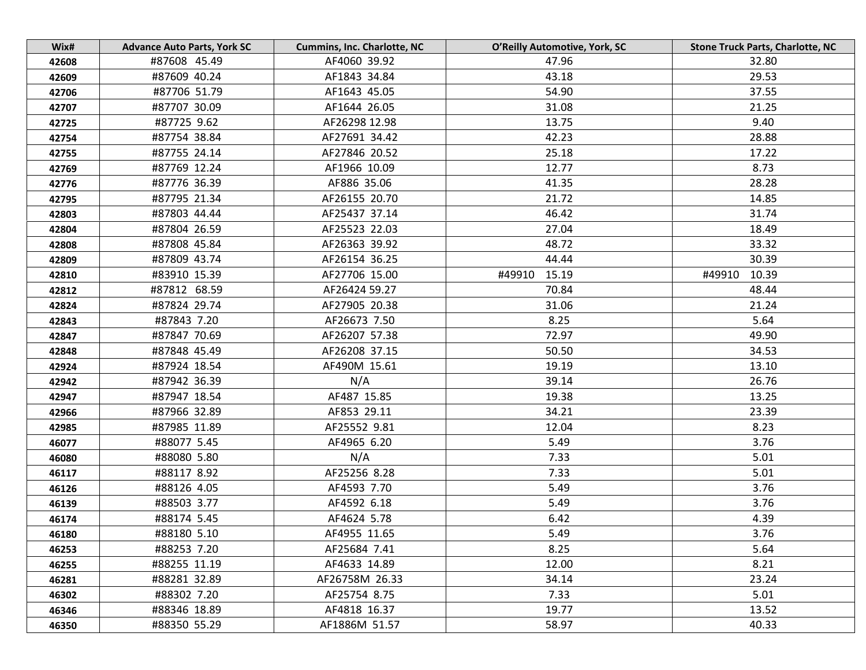| Wix#  | <b>Advance Auto Parts, York SC</b> | <b>Cummins, Inc. Charlotte, NC</b> | O'Reilly Automotive, York, SC | <b>Stone Truck Parts, Charlotte, NC</b> |
|-------|------------------------------------|------------------------------------|-------------------------------|-----------------------------------------|
| 42608 | #87608 45.49                       | AF4060 39.92                       | 47.96                         | 32.80                                   |
| 42609 | #87609 40.24                       | AF1843 34.84                       | 43.18                         | 29.53                                   |
| 42706 | #87706 51.79                       | AF1643 45.05                       | 54.90                         | 37.55                                   |
| 42707 | #87707 30.09                       | AF1644 26.05                       | 31.08                         | 21.25                                   |
| 42725 | #87725 9.62                        | AF26298 12.98                      | 13.75                         | 9.40                                    |
| 42754 | #87754 38.84                       | AF27691 34.42                      | 42.23                         | 28.88                                   |
| 42755 | #87755 24.14                       | AF27846 20.52                      | 25.18                         | 17.22                                   |
| 42769 | #87769 12.24                       | AF1966 10.09                       | 12.77                         | 8.73                                    |
| 42776 | #87776 36.39                       | AF886 35.06                        | 41.35                         | 28.28                                   |
| 42795 | #87795 21.34                       | AF26155 20.70                      | 21.72                         | 14.85                                   |
| 42803 | #87803 44.44                       | AF25437 37.14                      | 46.42                         | 31.74                                   |
| 42804 | #87804 26.59                       | AF25523 22.03                      | 27.04                         | 18.49                                   |
| 42808 | #87808 45.84                       | AF26363 39.92                      | 48.72                         | 33.32                                   |
| 42809 | #87809 43.74                       | AF26154 36.25                      | 44.44                         | 30.39                                   |
| 42810 | #83910 15.39                       | AF27706 15.00                      | #49910<br>15.19               | 10.39<br>#49910                         |
| 42812 | #87812 68.59                       | AF26424 59.27                      | 70.84                         | 48.44                                   |
| 42824 | #87824 29.74                       | AF27905 20.38                      | 31.06                         | 21.24                                   |
| 42843 | #87843 7.20                        | AF26673 7.50                       | 8.25                          | 5.64                                    |
| 42847 | #87847 70.69                       | AF26207 57.38                      | 72.97                         | 49.90                                   |
| 42848 | #87848 45.49                       | AF26208 37.15                      | 50.50                         | 34.53                                   |
| 42924 | #87924 18.54                       | AF490M 15.61                       | 19.19                         | 13.10                                   |
| 42942 | #87942 36.39                       | N/A                                | 39.14                         | 26.76                                   |
| 42947 | #87947 18.54                       | AF487 15.85                        | 19.38                         | 13.25                                   |
| 42966 | #87966 32.89                       | AF853 29.11                        | 34.21                         | 23.39                                   |
| 42985 | #87985 11.89                       | AF25552 9.81                       | 12.04                         | 8.23                                    |
| 46077 | #88077 5.45                        | AF4965 6.20                        | 5.49                          | 3.76                                    |
| 46080 | #88080 5.80                        | N/A                                | 7.33                          | 5.01                                    |
| 46117 | #88117 8.92                        | AF25256 8.28                       | 7.33                          | 5.01                                    |
| 46126 | #88126 4.05                        | AF4593 7.70                        | 5.49                          | 3.76                                    |
| 46139 | #88503 3.77                        | AF4592 6.18                        | 5.49                          | 3.76                                    |
| 46174 | #88174 5.45                        | AF4624 5.78                        | 6.42                          | 4.39                                    |
| 46180 | #88180 5.10                        | AF4955 11.65                       | 5.49                          | 3.76                                    |
| 46253 | #88253 7.20                        | AF25684 7.41                       | 8.25                          | 5.64                                    |
| 46255 | #88255 11.19                       | AF4633 14.89                       | 12.00                         | 8.21                                    |
| 46281 | #88281 32.89                       | AF26758M 26.33                     | 34.14                         | 23.24                                   |
| 46302 | #88302 7.20                        | AF25754 8.75                       | 7.33                          | 5.01                                    |
| 46346 | #88346 18.89                       | AF4818 16.37                       | 19.77                         | 13.52                                   |
| 46350 | #88350 55.29                       | AF1886M 51.57                      | 58.97                         | 40.33                                   |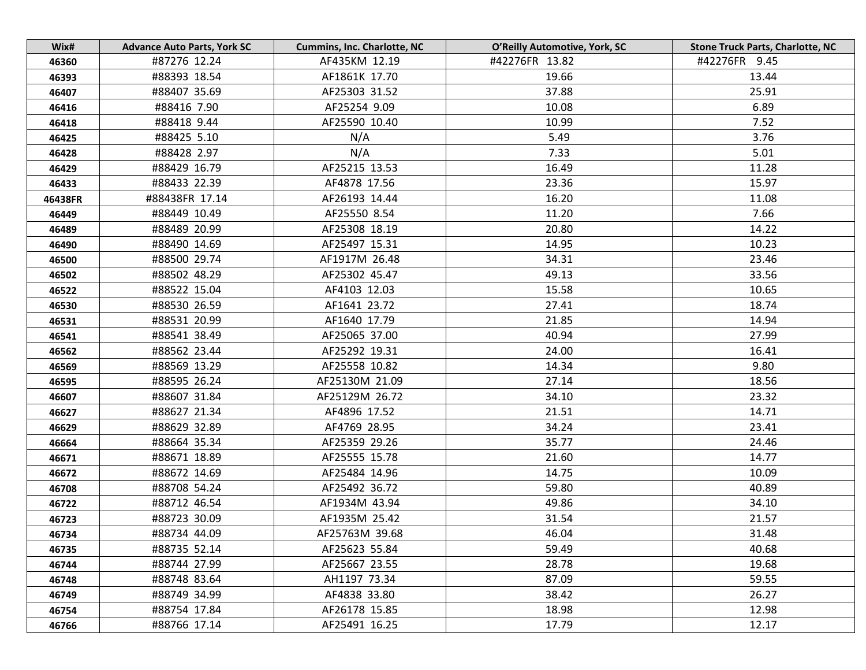| Wix#    | <b>Advance Auto Parts, York SC</b> | <b>Cummins, Inc. Charlotte, NC</b> | O'Reilly Automotive, York, SC | <b>Stone Truck Parts, Charlotte, NC</b> |
|---------|------------------------------------|------------------------------------|-------------------------------|-----------------------------------------|
| 46360   | #87276 12.24                       | AF435KM 12.19                      | #42276FR 13.82                | #42276FR 9.45                           |
| 46393   | #88393 18.54                       | AF1861K 17.70                      | 19.66                         | 13.44                                   |
| 46407   | #88407 35.69                       | AF25303 31.52                      | 37.88                         | 25.91                                   |
| 46416   | #88416 7.90                        | AF25254 9.09                       | 10.08                         | 6.89                                    |
| 46418   | #88418 9.44                        | AF25590 10.40                      | 10.99                         | 7.52                                    |
| 46425   | #88425 5.10                        | N/A                                | 5.49                          | 3.76                                    |
| 46428   | #88428 2.97                        | N/A                                | 7.33                          | 5.01                                    |
| 46429   | #88429 16.79                       | AF25215 13.53                      | 16.49                         | 11.28                                   |
| 46433   | #88433 22.39                       | AF4878 17.56                       | 23.36                         | 15.97                                   |
| 46438FR | #88438FR 17.14                     | AF26193 14.44                      | 16.20                         | 11.08                                   |
| 46449   | #88449 10.49                       | AF25550 8.54                       | 11.20                         | 7.66                                    |
| 46489   | #88489 20.99                       | AF25308 18.19                      | 20.80                         | 14.22                                   |
| 46490   | #88490 14.69                       | AF25497 15.31                      | 14.95                         | 10.23                                   |
| 46500   | #88500 29.74                       | AF1917M 26.48                      | 34.31                         | 23.46                                   |
| 46502   | #88502 48.29                       | AF25302 45.47                      | 49.13                         | 33.56                                   |
| 46522   | #88522 15.04                       | AF4103 12.03                       | 15.58                         | 10.65                                   |
| 46530   | #88530 26.59                       | AF1641 23.72                       | 27.41                         | 18.74                                   |
| 46531   | #88531 20.99                       | AF1640 17.79                       | 21.85                         | 14.94                                   |
| 46541   | #88541 38.49                       | AF25065 37.00                      | 40.94                         | 27.99                                   |
| 46562   | #88562 23.44                       | AF25292 19.31                      | 24.00                         | 16.41                                   |
| 46569   | #88569 13.29                       | AF25558 10.82                      | 14.34                         | 9.80                                    |
| 46595   | #88595 26.24                       | AF25130M 21.09                     | 27.14                         | 18.56                                   |
| 46607   | #88607 31.84                       | AF25129M 26.72                     | 34.10                         | 23.32                                   |
| 46627   | #88627 21.34                       | AF4896 17.52                       | 21.51                         | 14.71                                   |
| 46629   | #88629 32.89                       | AF4769 28.95                       | 34.24                         | 23.41                                   |
| 46664   | #88664 35.34                       | AF25359 29.26                      | 35.77                         | 24.46                                   |
| 46671   | #88671 18.89                       | AF25555 15.78                      | 21.60                         | 14.77                                   |
| 46672   | #88672 14.69                       | AF25484 14.96                      | 14.75                         | 10.09                                   |
| 46708   | #88708 54.24                       | AF25492 36.72                      | 59.80                         | 40.89                                   |
| 46722   | #88712 46.54                       | AF1934M 43.94                      | 49.86                         | 34.10                                   |
| 46723   | #88723 30.09                       | AF1935M 25.42                      | 31.54                         | 21.57                                   |
| 46734   | #88734 44.09                       | AF25763M 39.68                     | 46.04                         | 31.48                                   |
| 46735   | #88735 52.14                       | AF25623 55.84                      | 59.49                         | 40.68                                   |
| 46744   | #88744 27.99                       | AF25667 23.55                      | 28.78                         | 19.68                                   |
| 46748   | #88748 83.64                       | AH1197 73.34                       | 87.09                         | 59.55                                   |
| 46749   | #88749 34.99                       | AF4838 33.80                       | 38.42                         | 26.27                                   |
| 46754   | #88754 17.84                       | AF26178 15.85                      | 18.98                         | 12.98                                   |
| 46766   | #88766 17.14                       | AF25491 16.25                      | 17.79                         | 12.17                                   |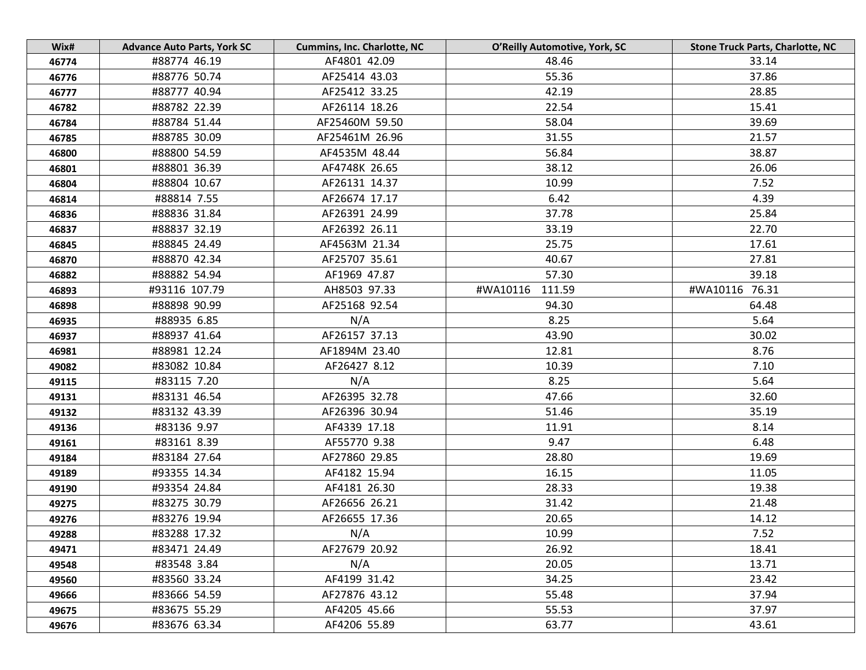| Wix#  | <b>Advance Auto Parts, York SC</b> | <b>Cummins, Inc. Charlotte, NC</b> | O'Reilly Automotive, York, SC | <b>Stone Truck Parts, Charlotte, NC</b> |
|-------|------------------------------------|------------------------------------|-------------------------------|-----------------------------------------|
| 46774 | #88774 46.19                       | AF4801 42.09                       | 48.46                         | 33.14                                   |
| 46776 | #88776 50.74                       | AF25414 43.03                      | 55.36                         | 37.86                                   |
| 46777 | #88777 40.94                       | AF25412 33.25                      | 42.19                         | 28.85                                   |
| 46782 | #88782 22.39                       | AF26114 18.26                      | 22.54                         | 15.41                                   |
| 46784 | #88784 51.44                       | AF25460M 59.50                     | 58.04                         | 39.69                                   |
| 46785 | #88785 30.09                       | AF25461M 26.96                     | 31.55                         | 21.57                                   |
| 46800 | #88800 54.59                       | AF4535M 48.44                      | 56.84                         | 38.87                                   |
| 46801 | #88801 36.39                       | AF4748K 26.65                      | 38.12                         | 26.06                                   |
| 46804 | #88804 10.67                       | AF26131 14.37                      | 10.99                         | 7.52                                    |
| 46814 | #88814 7.55                        | AF26674 17.17                      | 6.42                          | 4.39                                    |
| 46836 | #88836 31.84                       | AF26391 24.99                      | 37.78                         | 25.84                                   |
| 46837 | #88837 32.19                       | AF26392 26.11                      | 33.19                         | 22.70                                   |
| 46845 | #88845 24.49                       | AF4563M 21.34                      | 25.75                         | 17.61                                   |
| 46870 | #88870 42.34                       | AF25707 35.61                      | 40.67                         | 27.81                                   |
| 46882 | #88882 54.94                       | AF1969 47.87                       | 57.30                         | 39.18                                   |
| 46893 | #93116 107.79                      | AH8503 97.33                       | 111.59<br>#WA10116            | #WA10116 76.31                          |
| 46898 | #88898 90.99                       | AF25168 92.54                      | 94.30                         | 64.48                                   |
| 46935 | #88935 6.85                        | N/A                                | 8.25                          | 5.64                                    |
| 46937 | #88937 41.64                       | AF26157 37.13                      | 43.90                         | 30.02                                   |
| 46981 | #88981 12.24                       | AF1894M 23.40                      | 12.81                         | 8.76                                    |
| 49082 | #83082 10.84                       | AF26427 8.12                       | 10.39                         | 7.10                                    |
| 49115 | #83115 7.20                        | N/A                                | 8.25                          | 5.64                                    |
| 49131 | #83131 46.54                       | AF26395 32.78                      | 47.66                         | 32.60                                   |
| 49132 | #83132 43.39                       | AF26396 30.94                      | 51.46                         | 35.19                                   |
| 49136 | #83136 9.97                        | AF4339 17.18                       | 11.91                         | 8.14                                    |
| 49161 | #83161 8.39                        | AF55770 9.38                       | 9.47                          | 6.48                                    |
| 49184 | #83184 27.64                       | AF27860 29.85                      | 28.80                         | 19.69                                   |
| 49189 | #93355 14.34                       | AF4182 15.94                       | 16.15                         | 11.05                                   |
| 49190 | #93354 24.84                       | AF4181 26.30                       | 28.33                         | 19.38                                   |
| 49275 | #83275 30.79                       | AF26656 26.21                      | 31.42                         | 21.48                                   |
| 49276 | #83276 19.94                       | AF26655 17.36                      | 20.65                         | 14.12                                   |
| 49288 | #83288 17.32                       | N/A                                | 10.99                         | 7.52                                    |
| 49471 | #83471 24.49                       | AF27679 20.92                      | 26.92                         | 18.41                                   |
| 49548 | #83548 3.84                        | N/A                                | 20.05                         | 13.71                                   |
| 49560 | #83560 33.24                       | AF4199 31.42                       | 34.25                         | 23.42                                   |
| 49666 | #83666 54.59                       | AF27876 43.12                      | 55.48                         | 37.94                                   |
| 49675 | #83675 55.29                       | AF4205 45.66                       | 55.53                         | 37.97                                   |
| 49676 | #83676 63.34                       | AF4206 55.89                       | 63.77                         | 43.61                                   |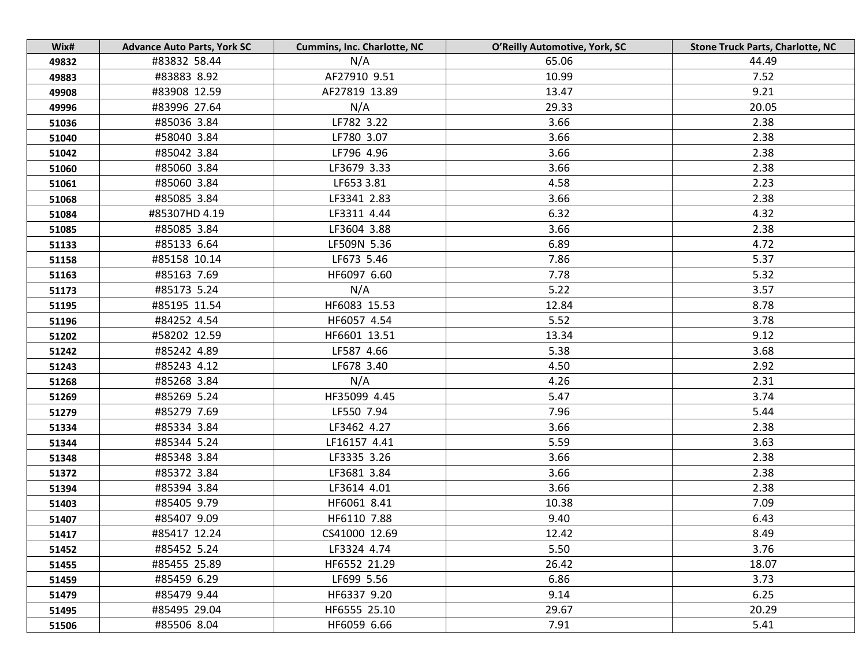| Wix#  | <b>Advance Auto Parts, York SC</b> | <b>Cummins, Inc. Charlotte, NC</b> | O'Reilly Automotive, York, SC | <b>Stone Truck Parts, Charlotte, NC</b> |
|-------|------------------------------------|------------------------------------|-------------------------------|-----------------------------------------|
| 49832 | #83832 58.44                       | N/A                                | 65.06                         | 44.49                                   |
| 49883 | #83883 8.92                        | AF27910 9.51                       | 10.99                         | 7.52                                    |
| 49908 | #83908 12.59                       | AF27819 13.89                      | 13.47                         | 9.21                                    |
| 49996 | #83996 27.64                       | N/A                                | 29.33                         | 20.05                                   |
| 51036 | #85036 3.84                        | LF782 3.22                         | 3.66                          | 2.38                                    |
| 51040 | #58040 3.84                        | LF780 3.07                         | 3.66                          | 2.38                                    |
| 51042 | #85042 3.84                        | LF796 4.96                         | 3.66                          | 2.38                                    |
| 51060 | #85060 3.84                        | LF3679 3.33                        | 3.66                          | 2.38                                    |
| 51061 | #85060 3.84                        | LF653 3.81                         | 4.58                          | 2.23                                    |
| 51068 | #85085 3.84                        | LF3341 2.83                        | 3.66                          | 2.38                                    |
| 51084 | #85307HD 4.19                      | LF3311 4.44                        | 6.32                          | 4.32                                    |
| 51085 | #85085 3.84                        | LF3604 3.88                        | 3.66                          | 2.38                                    |
| 51133 | #85133 6.64                        | LF509N 5.36                        | 6.89                          | 4.72                                    |
| 51158 | #85158 10.14                       | LF673 5.46                         | 7.86                          | 5.37                                    |
| 51163 | #85163 7.69                        | HF6097 6.60                        | 7.78                          | 5.32                                    |
| 51173 | #85173 5.24                        | N/A                                | 5.22                          | 3.57                                    |
| 51195 | #85195 11.54                       | HF6083 15.53                       | 12.84                         | 8.78                                    |
| 51196 | #84252 4.54                        | HF6057 4.54                        | 5.52                          | 3.78                                    |
| 51202 | #58202 12.59                       | HF6601 13.51                       | 13.34                         | 9.12                                    |
| 51242 | #85242 4.89                        | LF587 4.66                         | 5.38                          | 3.68                                    |
| 51243 | #85243 4.12                        | LF678 3.40                         | 4.50                          | 2.92                                    |
| 51268 | #85268 3.84                        | N/A                                | 4.26                          | 2.31                                    |
| 51269 | #85269 5.24                        | HF35099 4.45                       | 5.47                          | 3.74                                    |
| 51279 | #85279 7.69                        | LF550 7.94                         | 7.96                          | 5.44                                    |
| 51334 | #85334 3.84                        | LF3462 4.27                        | 3.66                          | 2.38                                    |
| 51344 | #85344 5.24                        | LF16157 4.41                       | 5.59                          | 3.63                                    |
| 51348 | #85348 3.84                        | LF3335 3.26                        | 3.66                          | 2.38                                    |
| 51372 | #85372 3.84                        | LF3681 3.84                        | 3.66                          | 2.38                                    |
| 51394 | #85394 3.84                        | LF3614 4.01                        | 3.66                          | 2.38                                    |
| 51403 | #85405 9.79                        | HF6061 8.41                        | 10.38                         | 7.09                                    |
| 51407 | #85407 9.09                        | HF6110 7.88                        | 9.40                          | 6.43                                    |
| 51417 | #85417 12.24                       | CS41000 12.69                      | 12.42                         | 8.49                                    |
| 51452 | #85452 5.24                        | LF3324 4.74                        | 5.50                          | 3.76                                    |
| 51455 | #85455 25.89                       | HF6552 21.29                       | 26.42                         | 18.07                                   |
| 51459 | #85459 6.29                        | LF699 5.56                         | 6.86                          | 3.73                                    |
| 51479 | #85479 9.44                        | HF6337 9.20                        | 9.14                          | 6.25                                    |
| 51495 | #85495 29.04                       | HF6555 25.10                       | 29.67                         | 20.29                                   |
| 51506 | #85506 8.04                        | HF6059 6.66                        | 7.91                          | 5.41                                    |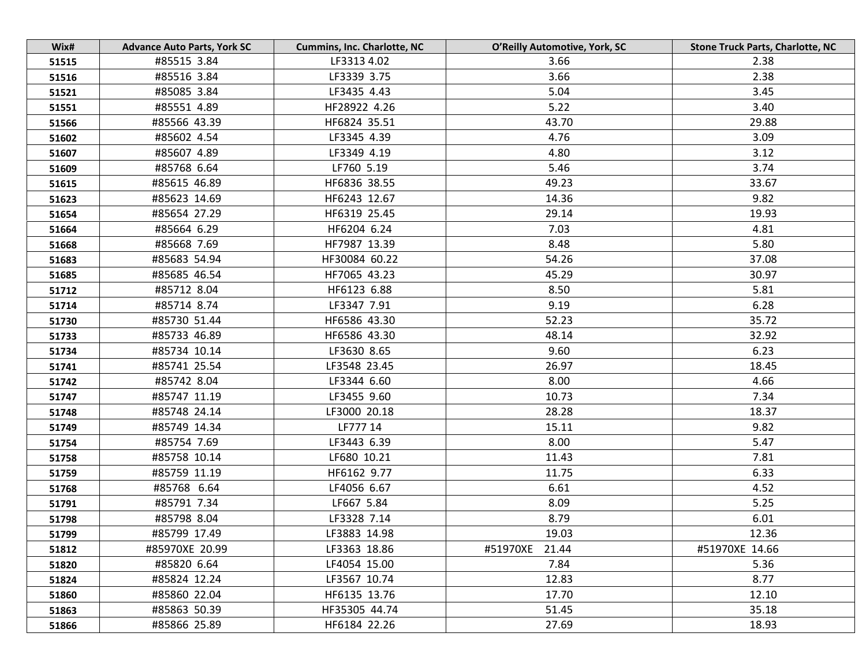| Wix#  | <b>Advance Auto Parts, York SC</b> | <b>Cummins, Inc. Charlotte, NC</b> | O'Reilly Automotive, York, SC | <b>Stone Truck Parts, Charlotte, NC</b> |
|-------|------------------------------------|------------------------------------|-------------------------------|-----------------------------------------|
| 51515 | #85515 3.84                        | LF3313 4.02                        | 3.66                          | 2.38                                    |
| 51516 | #85516 3.84                        | LF3339 3.75                        | 3.66                          | 2.38                                    |
| 51521 | #85085 3.84                        | LF3435 4.43                        | 5.04                          | 3.45                                    |
| 51551 | #85551 4.89                        | HF28922 4.26                       | 5.22                          | 3.40                                    |
| 51566 | #85566 43.39                       | HF6824 35.51                       | 43.70                         | 29.88                                   |
| 51602 | #85602 4.54                        | LF3345 4.39                        | 4.76                          | 3.09                                    |
| 51607 | #85607 4.89                        | LF3349 4.19                        | 4.80                          | 3.12                                    |
| 51609 | #85768 6.64                        | LF760 5.19                         | 5.46                          | 3.74                                    |
| 51615 | #85615 46.89                       | HF6836 38.55                       | 49.23                         | 33.67                                   |
| 51623 | #85623 14.69                       | HF6243 12.67                       | 14.36                         | 9.82                                    |
| 51654 | #85654 27.29                       | HF6319 25.45                       | 29.14                         | 19.93                                   |
| 51664 | #85664 6.29                        | HF6204 6.24                        | 7.03                          | 4.81                                    |
| 51668 | #85668 7.69                        | HF7987 13.39                       | 8.48                          | 5.80                                    |
| 51683 | #85683 54.94                       | HF30084 60.22                      | 54.26                         | 37.08                                   |
| 51685 | #85685 46.54                       | HF7065 43.23                       | 45.29                         | 30.97                                   |
| 51712 | #85712 8.04                        | HF6123 6.88                        | 8.50                          | 5.81                                    |
| 51714 | #85714 8.74                        | LF3347 7.91                        | 9.19                          | 6.28                                    |
| 51730 | #85730 51.44                       | HF6586 43.30                       | 52.23                         | 35.72                                   |
| 51733 | #85733 46.89                       | HF6586 43.30                       | 48.14                         | 32.92                                   |
| 51734 | #85734 10.14                       | LF3630 8.65                        | 9.60                          | 6.23                                    |
| 51741 | #85741 25.54                       | LF3548 23.45                       | 26.97                         | 18.45                                   |
| 51742 | #85742 8.04                        | LF3344 6.60                        | 8.00                          | 4.66                                    |
| 51747 | #85747 11.19                       | LF3455 9.60                        | 10.73                         | 7.34                                    |
| 51748 | #85748 24.14                       | LF3000 20.18                       | 28.28                         | 18.37                                   |
| 51749 | #85749 14.34                       | LF777 14                           | 15.11                         | 9.82                                    |
| 51754 | #85754 7.69                        | LF3443 6.39                        | 8.00                          | 5.47                                    |
| 51758 | #85758 10.14                       | LF680 10.21                        | 11.43                         | 7.81                                    |
| 51759 | #85759 11.19                       | HF6162 9.77                        | 11.75                         | 6.33                                    |
| 51768 | #85768 6.64                        | LF4056 6.67                        | 6.61                          | 4.52                                    |
| 51791 | #85791 7.34                        | LF667 5.84                         | 8.09                          | 5.25                                    |
| 51798 | #85798 8.04                        | LF3328 7.14                        | 8.79                          | 6.01                                    |
| 51799 | #85799 17.49                       | LF3883 14.98                       | 19.03                         | 12.36                                   |
| 51812 | #85970XE 20.99                     | LF3363 18.86                       | #51970XE<br>21.44             | #51970XE 14.66                          |
| 51820 | #85820 6.64                        | LF4054 15.00                       | 7.84                          | 5.36                                    |
| 51824 | #85824 12.24                       | LF3567 10.74                       | 12.83                         | 8.77                                    |
| 51860 | #85860 22.04                       | HF6135 13.76                       | 17.70                         | 12.10                                   |
| 51863 | #85863 50.39                       | HF35305 44.74                      | 51.45                         | 35.18                                   |
| 51866 | #85866 25.89                       | HF6184 22.26                       | 27.69                         | 18.93                                   |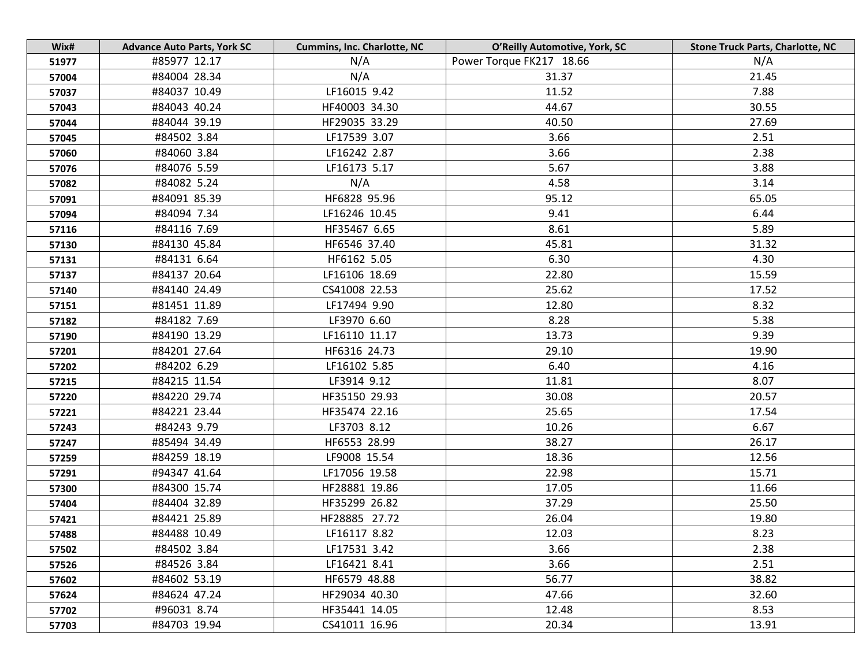| Wix#  | <b>Advance Auto Parts, York SC</b> | <b>Cummins, Inc. Charlotte, NC</b> | O'Reilly Automotive, York, SC | <b>Stone Truck Parts, Charlotte, NC</b> |
|-------|------------------------------------|------------------------------------|-------------------------------|-----------------------------------------|
| 51977 | #85977 12.17                       | N/A                                | Power Torque FK217 18.66      | N/A                                     |
| 57004 | #84004 28.34                       | N/A                                | 31.37                         | 21.45                                   |
| 57037 | #84037 10.49                       | LF16015 9.42                       | 11.52                         | 7.88                                    |
| 57043 | #84043 40.24                       | HF40003 34.30                      | 44.67                         | 30.55                                   |
| 57044 | #84044 39.19                       | HF29035 33.29                      | 40.50                         | 27.69                                   |
| 57045 | #84502 3.84                        | LF17539 3.07                       | 3.66                          | 2.51                                    |
| 57060 | #84060 3.84                        | LF16242 2.87                       | 3.66                          | 2.38                                    |
| 57076 | #84076 5.59                        | LF16173 5.17                       | 5.67                          | 3.88                                    |
| 57082 | #84082 5.24                        | N/A                                | 4.58                          | 3.14                                    |
| 57091 | #84091 85.39                       | HF6828 95.96                       | 95.12                         | 65.05                                   |
| 57094 | #84094 7.34                        | LF16246 10.45                      | 9.41                          | 6.44                                    |
| 57116 | #84116 7.69                        | HF35467 6.65                       | 8.61                          | 5.89                                    |
| 57130 | #84130 45.84                       | HF6546 37.40                       | 45.81                         | 31.32                                   |
| 57131 | #84131 6.64                        | HF6162 5.05                        | 6.30                          | 4.30                                    |
| 57137 | #84137 20.64                       | LF16106 18.69                      | 22.80                         | 15.59                                   |
| 57140 | #84140 24.49                       | CS41008 22.53                      | 25.62                         | 17.52                                   |
| 57151 | #81451 11.89                       | LF17494 9.90                       | 12.80                         | 8.32                                    |
| 57182 | #84182 7.69                        | LF3970 6.60                        | 8.28                          | 5.38                                    |
| 57190 | #84190 13.29                       | LF16110 11.17                      | 13.73                         | 9.39                                    |
| 57201 | #84201 27.64                       | HF6316 24.73                       | 29.10                         | 19.90                                   |
| 57202 | #84202 6.29                        | LF16102 5.85                       | 6.40                          | 4.16                                    |
| 57215 | #84215 11.54                       | LF3914 9.12                        | 11.81                         | 8.07                                    |
| 57220 | #84220 29.74                       | HF35150 29.93                      | 30.08                         | 20.57                                   |
| 57221 | #84221 23.44                       | HF35474 22.16                      | 25.65                         | 17.54                                   |
| 57243 | #84243 9.79                        | LF3703 8.12                        | 10.26                         | 6.67                                    |
| 57247 | #85494 34.49                       | HF6553 28.99                       | 38.27                         | 26.17                                   |
| 57259 | #84259 18.19                       | LF9008 15.54                       | 18.36                         | 12.56                                   |
| 57291 | #94347 41.64                       | LF17056 19.58                      | 22.98                         | 15.71                                   |
| 57300 | #84300 15.74                       | HF28881 19.86                      | 17.05                         | 11.66                                   |
| 57404 | #84404 32.89                       | HF35299 26.82                      | 37.29                         | 25.50                                   |
| 57421 | #84421 25.89                       | HF28885 27.72                      | 26.04                         | 19.80                                   |
| 57488 | #84488 10.49                       | LF16117 8.82                       | 12.03                         | 8.23                                    |
| 57502 | #84502 3.84                        | LF17531 3.42                       | 3.66                          | 2.38                                    |
| 57526 | #84526 3.84                        | LF16421 8.41                       | 3.66                          | 2.51                                    |
| 57602 | #84602 53.19                       | HF6579 48.88                       | 56.77                         | 38.82                                   |
| 57624 | #84624 47.24                       | HF29034 40.30                      | 47.66                         | 32.60                                   |
| 57702 | #96031 8.74                        | HF35441 14.05                      | 12.48                         | 8.53                                    |
| 57703 | #84703 19.94                       | CS41011 16.96                      | 20.34                         | 13.91                                   |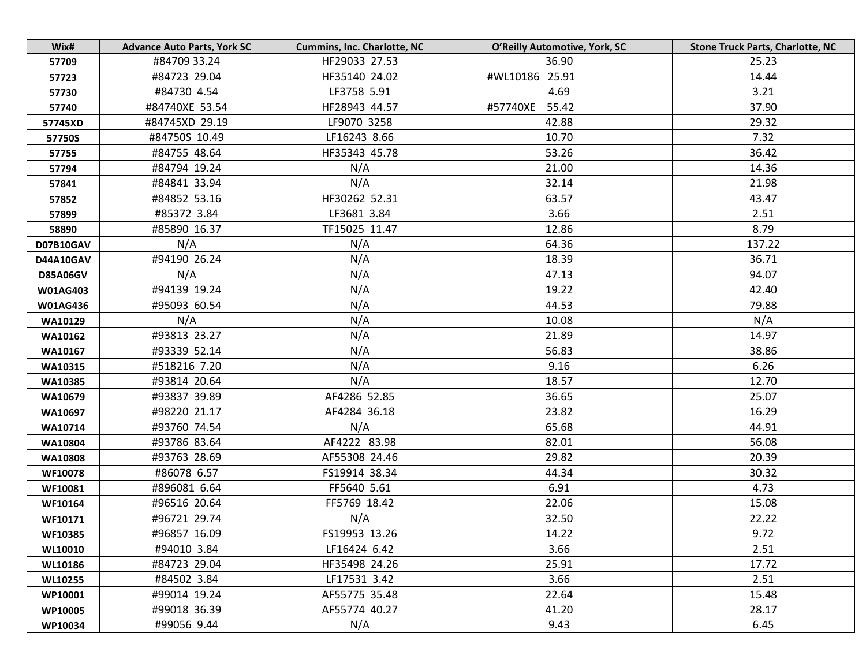| Wix#            | <b>Advance Auto Parts, York SC</b> | <b>Cummins, Inc. Charlotte, NC</b> | O'Reilly Automotive, York, SC | <b>Stone Truck Parts, Charlotte, NC</b> |
|-----------------|------------------------------------|------------------------------------|-------------------------------|-----------------------------------------|
| 57709           | #84709 33.24                       | HF29033 27.53                      | 36.90                         | 25.23                                   |
| 57723           | #84723 29.04                       | HF35140 24.02                      | #WL10186 25.91                | 14.44                                   |
| 57730           | #84730 4.54                        | LF3758 5.91                        | 4.69                          | 3.21                                    |
| 57740           | #84740XE 53.54                     | HF28943 44.57                      | #57740XE 55.42                | 37.90                                   |
| 57745XD         | #84745XD 29.19                     | LF9070 3258                        | 42.88                         | 29.32                                   |
| 57750S          | #84750S 10.49                      | LF16243 8.66                       | 10.70                         | 7.32                                    |
| 57755           | #84755 48.64                       | HF35343 45.78                      | 53.26                         | 36.42                                   |
| 57794           | #84794 19.24                       | N/A                                | 21.00                         | 14.36                                   |
| 57841           | #84841 33.94                       | N/A                                | 32.14                         | 21.98                                   |
| 57852           | #84852 53.16                       | HF30262 52.31                      | 63.57                         | 43.47                                   |
| 57899           | #85372 3.84                        | LF3681 3.84                        | 3.66                          | 2.51                                    |
| 58890           | #85890 16.37                       | TF15025 11.47                      | 12.86                         | 8.79                                    |
| D07B10GAV       | N/A                                | N/A                                | 64.36                         | 137.22                                  |
| D44A10GAV       | #94190 26.24                       | N/A                                | 18.39                         | 36.71                                   |
| <b>D85A06GV</b> | N/A                                | N/A                                | 47.13                         | 94.07                                   |
| W01AG403        | #94139 19.24                       | N/A                                | 19.22                         | 42.40                                   |
| W01AG436        | #95093 60.54                       | N/A                                | 44.53                         | 79.88                                   |
| WA10129         | N/A                                | N/A                                | 10.08                         | N/A                                     |
| WA10162         | #93813 23.27                       | N/A                                | 21.89                         | 14.97                                   |
| WA10167         | #93339 52.14                       | N/A                                | 56.83                         | 38.86                                   |
| WA10315         | #518216 7.20                       | N/A                                | 9.16                          | 6.26                                    |
| WA10385         | #93814 20.64                       | N/A                                | 18.57                         | 12.70                                   |
| WA10679         | #93837 39.89                       | AF4286 52.85                       | 36.65                         | 25.07                                   |
| <b>WA10697</b>  | #98220 21.17                       | AF4284 36.18                       | 23.82                         | 16.29                                   |
| WA10714         | #93760 74.54                       | N/A                                | 65.68                         | 44.91                                   |
| WA10804         | #93786 83.64                       | AF4222 83.98                       | 82.01                         | 56.08                                   |
| WA10808         | #93763 28.69                       | AF55308 24.46                      | 29.82                         | 20.39                                   |
| <b>WF10078</b>  | #86078 6.57                        | FS19914 38.34                      | 44.34                         | 30.32                                   |
| WF10081         | #896081 6.64                       | FF5640 5.61                        | 6.91                          | 4.73                                    |
| WF10164         | #96516 20.64                       | FF5769 18.42                       | 22.06                         | 15.08                                   |
| WF10171         | #96721 29.74                       | N/A                                | 32.50                         | 22.22                                   |
| WF10385         | #96857 16.09                       | FS19953 13.26                      | 14.22                         | 9.72                                    |
| <b>WL10010</b>  | #94010 3.84                        | LF16424 6.42                       | 3.66                          | 2.51                                    |
| <b>WL10186</b>  | #84723 29.04                       | HF35498 24.26                      | 25.91                         | 17.72                                   |
| <b>WL10255</b>  | #84502 3.84                        | LF17531 3.42                       | 3.66                          | 2.51                                    |
| WP10001         | #99014 19.24                       | AF55775 35.48                      | 22.64                         | 15.48                                   |
| WP10005         | #99018 36.39                       | AF55774 40.27                      | 41.20                         | 28.17                                   |
| WP10034         | #99056 9.44                        | N/A                                | 9.43                          | 6.45                                    |